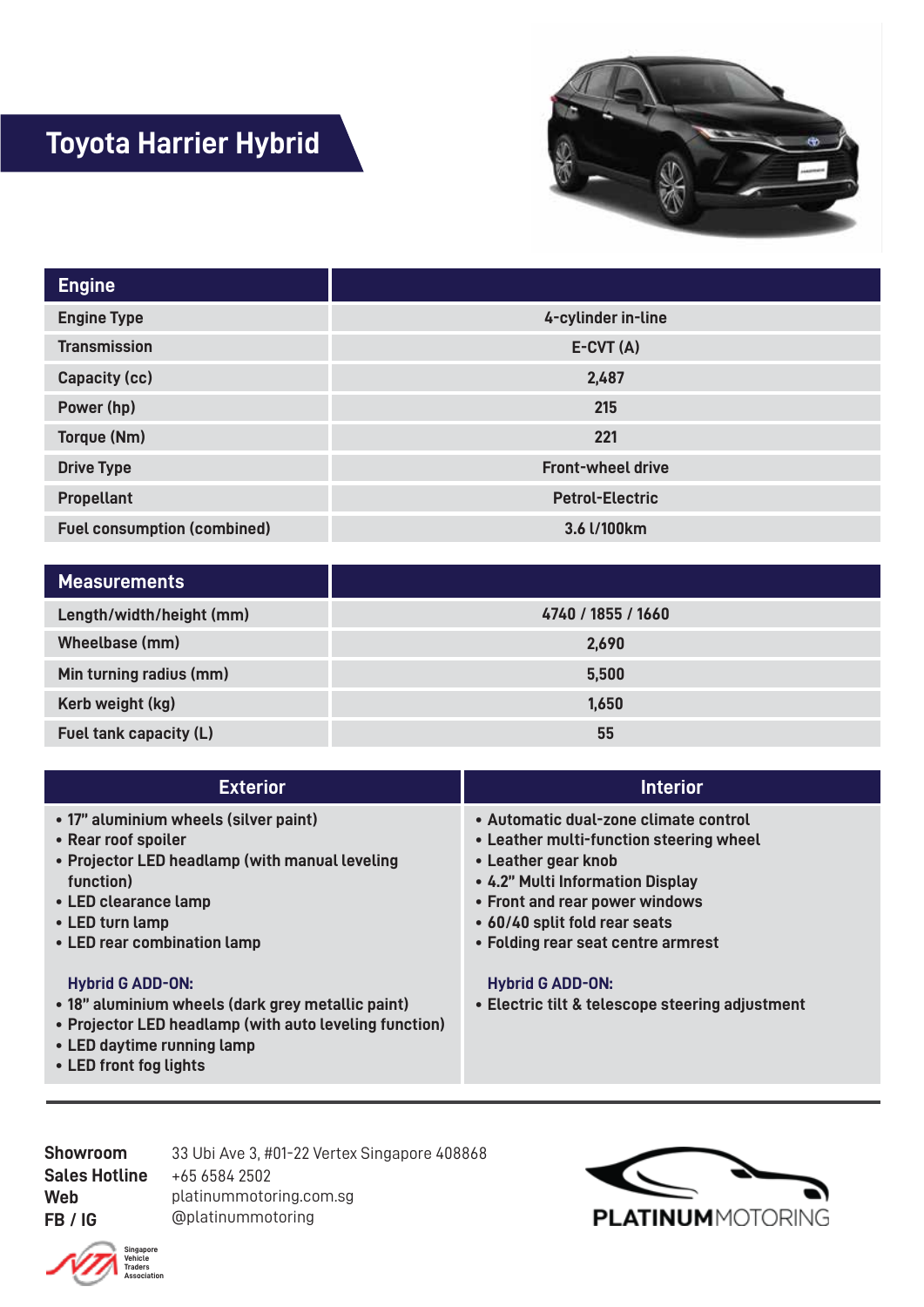## **Toyota Harrier Hybrid**



| <b>Engine</b>                      |                          |
|------------------------------------|--------------------------|
| <b>Engine Type</b>                 | 4-cylinder in-line       |
| <b>Transmission</b>                | $E-CVT(A)$               |
| Capacity (cc)                      | 2,487                    |
| Power (hp)                         | 215                      |
| Torque (Nm)                        | 221                      |
| <b>Drive Type</b>                  | <b>Front-wheel drive</b> |
| <b>Propellant</b>                  | <b>Petrol-Electric</b>   |
| <b>Fuel consumption (combined)</b> | 3.6 l/100km              |

| <b>Measurements</b>      |                    |
|--------------------------|--------------------|
| Length/width/height (mm) | 4740 / 1855 / 1660 |
| Wheelbase (mm)           | 2,690              |
| Min turning radius (mm)  | 5,500              |
| Kerb weight (kg)         | 1,650              |
| Fuel tank capacity (L)   | 55                 |

| <b>Exterior</b>                                                                                                                                                                                       | <b>Interior</b>                                                                                                                                                                                                                                      |
|-------------------------------------------------------------------------------------------------------------------------------------------------------------------------------------------------------|------------------------------------------------------------------------------------------------------------------------------------------------------------------------------------------------------------------------------------------------------|
| • 17" aluminium wheels (silver paint)<br>• Rear roof spoiler<br>• Projector LED headlamp (with manual leveling<br>function)<br>• LED clearance lamp<br>• LED turn lamp<br>• LED rear combination lamp | • Automatic dual-zone climate control<br>• Leather multi-function steering wheel<br>• Leather gear knob<br>• 4.2" Multi Information Display<br>• Front and rear power windows<br>• 60/40 split fold rear seats<br>• Folding rear seat centre armrest |
| <b>Hybrid G ADD-ON:</b><br>• 18" aluminium wheels (dark grey metallic paint)<br>• Projector LED headlamp (with auto leveling function)<br>• LED daytime running lamp                                  | <b>Hybrid G ADD-ON:</b><br>• Electric tilt & telescope steering adjustment                                                                                                                                                                           |

**LED front fog lights •**

**Showroom Sales Hotline Web FB / IG** 33 Ubi Ave 3, #01-22 Vertex Singapore 408868 +65 6584 2502 platinummotoring.com.sg @platinummotoring



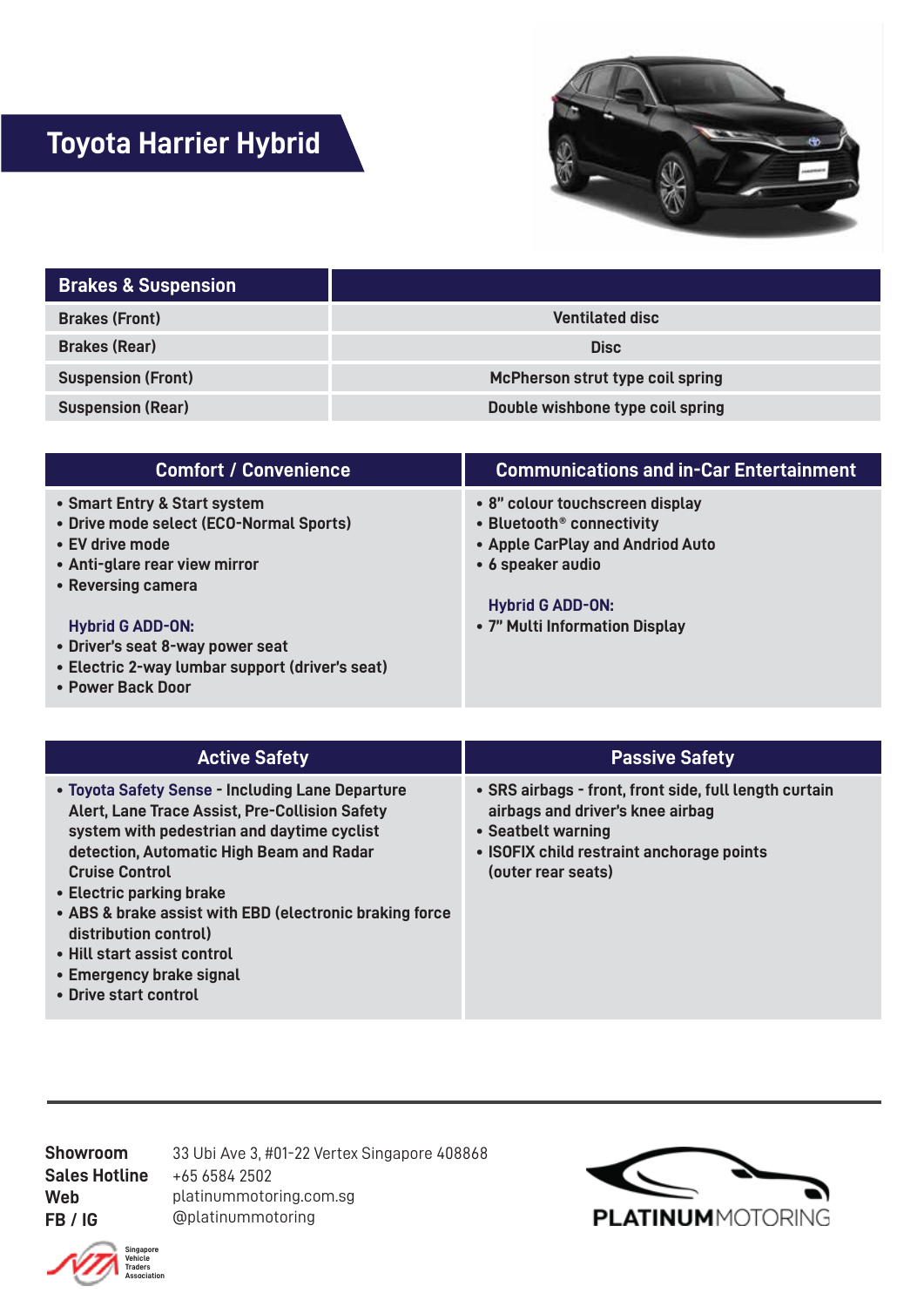## **Toyota Harrier Hybrid**



| <b>Brakes &amp; Suspension</b> |                                  |
|--------------------------------|----------------------------------|
| <b>Brakes (Front)</b>          | <b>Ventilated disc</b>           |
| <b>Brakes (Rear)</b>           | <b>Disc</b>                      |
| <b>Suspension (Front)</b>      | McPherson strut type coil spring |
| <b>Suspension (Rear)</b>       | Double wishbone type coil spring |

| <b>Comfort / Convenience</b>                                            | <b>Communications and in-Car Entertainment</b>                           |
|-------------------------------------------------------------------------|--------------------------------------------------------------------------|
| • Smart Entry & Start system<br>• Drive mode select (ECO-Normal Sports) | • 8" colour touchscreen display<br>• Bluetooth <sup>®</sup> connectivity |
| • EV drive mode<br>• Anti-glare rear view mirror                        | • Apple CarPlay and Andriod Auto<br>• 6 speaker audio                    |
| • Reversing camera                                                      |                                                                          |
|                                                                         | <b>Hybrid G ADD-ON:</b>                                                  |
| <b>Hybrid G ADD-ON:</b>                                                 | • 7" Multi Information Display                                           |
| • Driver's seat 8-way power seat                                        |                                                                          |
| • Electric 2-way lumbar support (driver's seat)                         |                                                                          |
| • Power Back Door                                                       |                                                                          |

| <b>Active Safety</b>                                                                                                                                                                                                                                                                                                                                                                             | <b>Passive Safety</b>                                                                                                                                                               |
|--------------------------------------------------------------------------------------------------------------------------------------------------------------------------------------------------------------------------------------------------------------------------------------------------------------------------------------------------------------------------------------------------|-------------------------------------------------------------------------------------------------------------------------------------------------------------------------------------|
| • Toyota Safety Sense - Including Lane Departure<br>Alert, Lane Trace Assist, Pre-Collision Safety<br>system with pedestrian and daytime cyclist<br>detection, Automatic High Beam and Radar<br><b>Cruise Control</b><br>• Electric parking brake<br>• ABS & brake assist with EBD (electronic braking force<br>distribution control)<br>• Hill start assist control<br>• Emergency brake signal | • SRS airbags - front, front side, full length curtain<br>airbags and driver's knee airbag<br>• Seatbelt warning<br>• ISOFIX child restraint anchorage points<br>(outer rear seats) |

**Drive start control •**

**Showroom Sales Hotline Web FB / IG** 33 Ubi Ave 3, #01-22 Vertex Singapore 408868 +65 6584 2502 platinummotoring.com.sg @platinummotoring